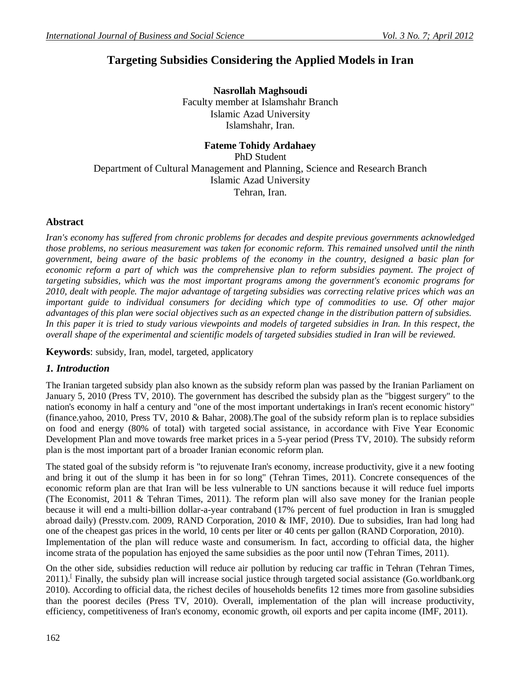# **Targeting Subsidies Considering the Applied Models in Iran**

**Nasrollah Maghsoudi** Faculty member at Islamshahr Branch Islamic Azad University Islamshahr, Iran.

**Fateme Tohidy Ardahaey** PhD Student Department of Cultural Management and Planning, Science and Research Branch Islamic Azad University Tehran, Iran.

# **Abstract**

*Iran's economy has suffered from chronic problems for decades and despite previous governments acknowledged those problems, no serious measurement was taken for economic reform. This remained unsolved until the ninth government, being aware of the basic problems of the economy in the country, designed a basic plan for economic reform a part of which was the comprehensive plan to reform subsidies payment. The project of targeting subsidies, which was the most important programs among the government's economic programs for 2010, dealt with people. The major advantage of targeting subsidies was correcting relative prices which was an important guide to individual consumers for deciding which type of commodities to use. Of other major advantages of this plan were social objectives such as an expected change in the distribution pattern of subsidies.* In this paper it is tried to study various viewpoints and models of targeted subsidies in Iran. In this respect, the *overall shape of the experimental and scientific models of targeted subsidies studied in Iran will be reviewed.* 

**Keywords**: subsidy, Iran, model, targeted, applicatory

## *1. Introduction*

The Iranian targeted subsidy plan also known as the subsidy reform plan was passed by the Iranian Parliament on January 5, 2010 (Press TV, 2010). The government has described the subsidy plan as the "biggest surgery" to the nation's economy in half a century and "one of the most important undertakings in Iran's recent economic history" (finance.yahoo, 2010, Press TV, 2010 & Bahar, 2008).The goal of the subsidy reform plan is to replace subsidies on food and energy (80% of total) with targeted social assistance, in accordance with Five Year Economic Development Plan and move towards free market prices in a 5-year period (Press TV, 2010). The subsidy reform plan is the most important part of a broader Iranian economic reform plan.

The stated goal of the subsidy reform is "to rejuvenate Iran's economy, increase productivity, give it a new footing and bring it out of the slump it has been in for so long" (Tehran Times, 2011). Concrete consequences of the economic reform plan are that Iran will be less vulnerable to UN sanctions because it will reduce fuel imports (The Economist, 2011 & Tehran Times, 2011). The reform plan will also save money for the Iranian people because it will end a multi-billion dollar-a-year contraband (17% percent of fuel production in Iran is smuggled abroad daily) (Presstv.com. 2009, RAND Corporation, 2010 & IMF, 2010). Due to subsidies, Iran had long had one of the cheapest gas prices in the world, 10 cents per liter or 40 cents per gallon (RAND Corporation, 2010). Implementation of the plan will reduce waste and consumerism. In fact, according to official data, the higher income strata of the population has enjoyed the same subsidies as the poor until now (Tehran Times, 2011).

On the other side, subsidies reduction will reduce air pollution by reducing car traffic in Tehran (Tehran Times, 2011).<sup>[</sup> Finally, the subsidy plan will increase social justice through targeted social assistance (Go.worldbank.org 2010). According to official data, the richest deciles of households benefits 12 times more from gasoline subsidies than the poorest deciles (Press TV, 2010). Overall, implementation of the plan will increase productivity, efficiency, competitiveness of Iran's economy, economic growth, oil exports and per capita income (IMF, 2011).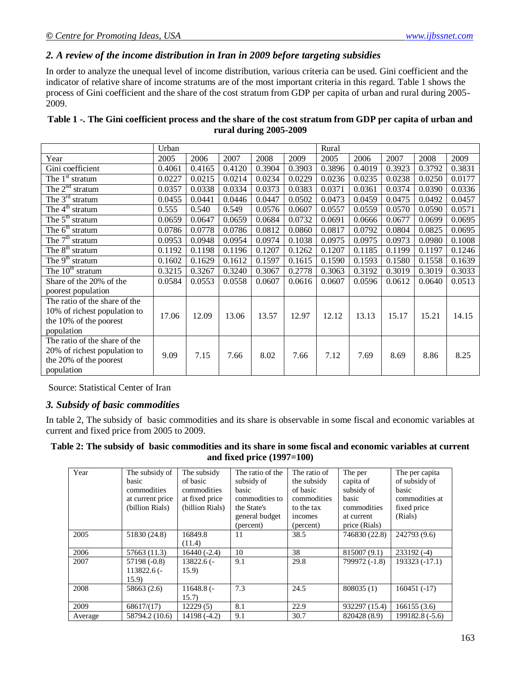## *2. A review of the income distribution in Iran in 2009 before targeting subsidies*

In order to analyze the unequal level of income distribution, various criteria can be used. Gini coefficient and the indicator of relative share of income stratums are of the most important criteria in this regard. Table 1 shows the process of Gini coefficient and the share of the cost stratum from GDP per capita of urban and rural during 2005- 2009.

#### **Table 1 -. The Gini coefficient process and the share of the cost stratum from GDP per capita of urban and rural during 2005-2009**

|                                                                                                       | Urban  |        |        |        | Rural  |        |        |        |        |        |
|-------------------------------------------------------------------------------------------------------|--------|--------|--------|--------|--------|--------|--------|--------|--------|--------|
| Year                                                                                                  | 2005   | 2006   | 2007   | 2008   | 2009   | 2005   | 2006   | 2007   | 2008   | 2009   |
| Gini coefficient                                                                                      | 0.4061 | 0.4165 | 0.4120 | 0.3904 | 0.3903 | 0.3896 | 0.4019 | 0.3923 | 0.3792 | 0.3831 |
| The $1st$ stratum                                                                                     | 0.0227 | 0.0215 | 0.0214 | 0.0234 | 0.0229 | 0.0236 | 0.0235 | 0.0238 | 0.0250 | 0.0177 |
| The $2^{nd}$ stratum                                                                                  | 0.0357 | 0.0338 | 0.0334 | 0.0373 | 0.0383 | 0.0371 | 0.0361 | 0.0374 | 0.0390 | 0.0336 |
| The $3^{rd}$ stratum                                                                                  | 0.0455 | 0.0441 | 0.0446 | 0.0447 | 0.0502 | 0.0473 | 0.0459 | 0.0475 | 0.0492 | 0.0457 |
| The 4 <sup>th</sup> stratum                                                                           | 0.555  | 0.540  | 0.549  | 0.0576 | 0.0607 | 0.0557 | 0.0559 | 0.0570 | 0.0590 | 0.0571 |
| The $5th$ stratum                                                                                     | 0.0659 | 0.0647 | 0.0659 | 0.0684 | 0.0732 | 0.0691 | 0.0666 | 0.0677 | 0.0699 | 0.0695 |
| The $6th$ stratum                                                                                     | 0.0786 | 0.0778 | 0.0786 | 0.0812 | 0.0860 | 0.0817 | 0.0792 | 0.0804 | 0.0825 | 0.0695 |
| The $7th$ stratum                                                                                     | 0.0953 | 0.0948 | 0.0954 | 0.0974 | 0.1038 | 0.0975 | 0.0975 | 0.0973 | 0.0980 | 0.1008 |
| The $8th$ stratum                                                                                     | 0.1192 | 0.1198 | 0.1196 | 0.1207 | 0.1262 | 0.1207 | 0.1185 | 0.1199 | 0.1197 | 0.1246 |
| The $9th$ stratum                                                                                     | 0.1602 | 0.1629 | 0.1612 | 0.1597 | 0.1615 | 0.1590 | 0.1593 | 0.1580 | 0.1558 | 0.1639 |
| The $10th$ stratum                                                                                    | 0.3215 | 0.3267 | 0.3240 | 0.3067 | 0.2778 | 0.3063 | 0.3192 | 0.3019 | 0.3019 | 0.3033 |
| Share of the 20% of the                                                                               | 0.0584 | 0.0553 | 0.0558 | 0.0607 | 0.0616 | 0.0607 | 0.0596 | 0.0612 | 0.0640 | 0.0513 |
| poorest population                                                                                    |        |        |        |        |        |        |        |        |        |        |
| The ratio of the share of the<br>10% of richest population to<br>the 10% of the poorest<br>population | 17.06  | 12.09  | 13.06  | 13.57  | 12.97  | 12.12  | 13.13  | 15.17  | 15.21  | 14.15  |
| The ratio of the share of the<br>20% of richest population to<br>the 20% of the poorest<br>population | 9.09   | 7.15   | 7.66   | 8.02   | 7.66   | 7.12   | 7.69   | 8.69   | 8.86   | 8.25   |

Source: Statistical Center of Iran

## *3. Subsidy of basic commodities*

In table 2, The subsidy of basic commodities and its share is observable in some fiscal and economic variables at current and fixed price from 2005 to 2009.

#### **Table 2: The subsidy of basic commodities and its share in some fiscal and economic variables at current and fixed price (1997=100)**

| Year    | The subsidy of<br>basic<br>commodities<br>at current price<br>(billion Rials) | The subsidy<br>of basic<br>commodities<br>at fixed price<br>(billion Rials) | The ratio of the<br>subsidy of<br>basic<br>commodities to<br>the State's | The ratio of<br>the subsidy<br>of basic<br>commodities<br>to the tax | The per<br>capita of<br>subsidy of<br><b>basic</b><br>commodities | The per capita<br>of subsidy of<br>basic<br>commodities at<br>fixed price |
|---------|-------------------------------------------------------------------------------|-----------------------------------------------------------------------------|--------------------------------------------------------------------------|----------------------------------------------------------------------|-------------------------------------------------------------------|---------------------------------------------------------------------------|
|         |                                                                               |                                                                             | general budget                                                           | incomes                                                              | at current                                                        | (Rials)                                                                   |
|         |                                                                               |                                                                             | (percent)                                                                | (percent)                                                            | price (Rials)                                                     |                                                                           |
| 2005    | 51830 (24.8)                                                                  | 16849.8                                                                     | 11                                                                       | 38.5                                                                 | 746830 (22.8)                                                     | 242793 (9.6)                                                              |
|         |                                                                               | (11.4)                                                                      |                                                                          |                                                                      |                                                                   |                                                                           |
| 2006    | 57663 (11.3)                                                                  | $16440(-2.4)$                                                               | 10                                                                       | 38                                                                   | 815007 (9.1)                                                      | $233192(-4)$                                                              |
| 2007    | 57198 (-0.8)<br>$113822.6(-$<br>15.9                                          | $13822.6$ (-<br>15.9                                                        | 9.1                                                                      | 29.8                                                                 | 799972 (-1.8)                                                     | 193323 (-17.1)                                                            |
| 2008    | 58663 (2.6)                                                                   | $11648.8$ (-<br>15.7)                                                       | 7.3                                                                      | 24.5                                                                 | 808035 (1)                                                        | $160451(-17)$                                                             |
| 2009    | 68617/(17)                                                                    | 12229(5)                                                                    | 8.1                                                                      | 22.9                                                                 | 932297 (15.4)                                                     | 166155(3.6)                                                               |
| Average | 58794.2 (10.6)                                                                | 14198 (-4.2)                                                                | 9.1                                                                      | 30.7                                                                 | 820428 (8.9)                                                      | 199182.8 (-5.6)                                                           |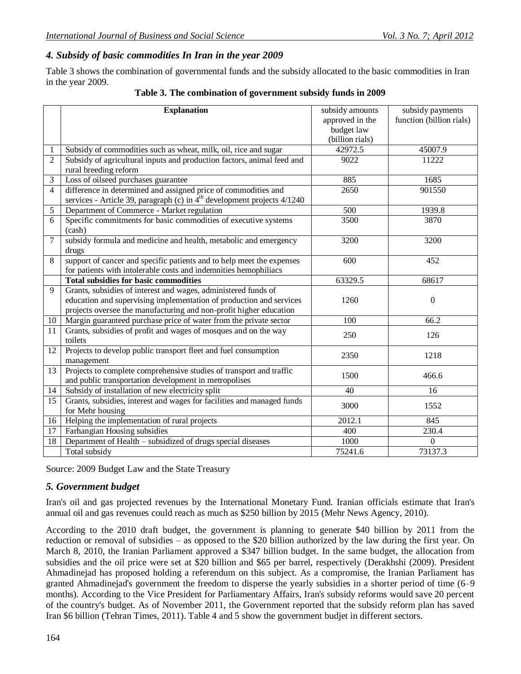# *4. Subsidy of basic commodities In Iran in the year 2009*

Table 3 shows the combination of governmental funds and the subsidy allocated to the basic commodities in Iran in the year 2009.

|                 | <b>Explanation</b>                                                                                                           | subsidy amounts<br>approved in the | subsidy payments<br>function (billion rials) |  |
|-----------------|------------------------------------------------------------------------------------------------------------------------------|------------------------------------|----------------------------------------------|--|
|                 |                                                                                                                              | budget law                         |                                              |  |
|                 |                                                                                                                              | (billion rials)                    |                                              |  |
| 1               | Subsidy of commodities such as wheat, milk, oil, rice and sugar                                                              | 42972.5                            | 45007.9                                      |  |
| $\overline{2}$  | Subsidy of agricultural inputs and production factors, animal feed and                                                       | 9022                               | 11222                                        |  |
|                 | rural breeding reform                                                                                                        |                                    |                                              |  |
| 3               | Loss of oilseed purchases guarantee                                                                                          | 885                                | 1685                                         |  |
| $\overline{4}$  | difference in determined and assigned price of commodities and                                                               | 2650                               | 901550                                       |  |
|                 | services - Article 39, paragraph (c) in 4 <sup>th</sup> development projects 4/1240                                          |                                    |                                              |  |
| 5               | Department of Commerce - Market regulation                                                                                   | 500                                | 1939.8                                       |  |
| 6               | Specific commitments for basic commodities of executive systems                                                              | 3500                               | 3870                                         |  |
|                 | (cash)                                                                                                                       |                                    |                                              |  |
| 7               | subsidy formula and medicine and health, metabolic and emergency                                                             | 3200                               | 3200                                         |  |
|                 | drugs                                                                                                                        |                                    |                                              |  |
| 8               | support of cancer and specific patients and to help meet the expenses                                                        | 600                                | 452                                          |  |
|                 | for patients with intolerable costs and indemnities hemophiliacs                                                             |                                    |                                              |  |
|                 | <b>Total subsidies for basic commodities</b>                                                                                 | 63329.5                            | 68617                                        |  |
| 9               | Grants, subsidies of interest and wages, administered funds of                                                               |                                    |                                              |  |
|                 | education and supervising implementation of production and services                                                          | 1260                               | $\mathbf{0}$                                 |  |
|                 | projects oversee the manufacturing and non-profit higher education                                                           |                                    |                                              |  |
| 10              | Margin guaranteed purchase price of water from the private sector                                                            | 100                                | 66.2                                         |  |
| 11              | Grants, subsidies of profit and wages of mosques and on the way<br>toilets                                                   | 250                                | 126                                          |  |
| 12              | Projects to develop public transport fleet and fuel consumption                                                              | 2350                               | 1218                                         |  |
|                 | management                                                                                                                   |                                    |                                              |  |
| 13              | Projects to complete comprehensive studies of transport and traffic<br>and public transportation development in metropolises | 1500                               | 466.6                                        |  |
| 14              | Subsidy of installation of new electricity split                                                                             | 40                                 | 16                                           |  |
| $\overline{15}$ | Grants, subsidies, interest and wages for facilities and managed funds<br>for Mehr housing                                   | 3000                               | 1552                                         |  |
| 16              | Helping the implementation of rural projects                                                                                 | 2012.1                             | 845                                          |  |
| 17              | Farhangian Housing subsidies                                                                                                 | 400                                | 230.4                                        |  |
| 18              | Department of Health – subsidized of drugs special diseases                                                                  | 1000                               | $\Omega$                                     |  |
|                 | Total subsidy                                                                                                                | 75241.6                            | 73137.3                                      |  |
|                 |                                                                                                                              |                                    |                                              |  |

Source: 2009 Budget Law and the State Treasury

## *5. Government budget*

Iran's oil and gas projected revenues by the International Monetary Fund. Iranian officials estimate that Iran's annual oil and gas revenues could reach as much as \$250 billion by 2015 (Mehr News Agency, 2010).

According to the 2010 draft budget, the government is planning to generate \$40 billion by 2011 from the reduction or removal of subsidies – as opposed to the \$20 billion authorized by the law during the first year. On March 8, 2010, the Iranian Parliament approved a \$347 billion budget. In the same budget, the allocation from subsidies and the oil price were set at \$20 billion and \$65 per barrel, respectively (Derakhshi (2009). President Ahmadinejad has proposed holding a referendum on this subject. As a compromise, the Iranian Parliament has granted Ahmadinejad's government the freedom to disperse the yearly subsidies in a shorter period of time (6–9 months). According to the Vice President for Parliamentary Affairs, Iran's subsidy reforms would save 20 percent of the country's budget. As of November 2011, the Government reported that the subsidy reform plan has saved Iran \$6 billion (Tehran Times, 2011). Table 4 and 5 show the government budjet in different sectors.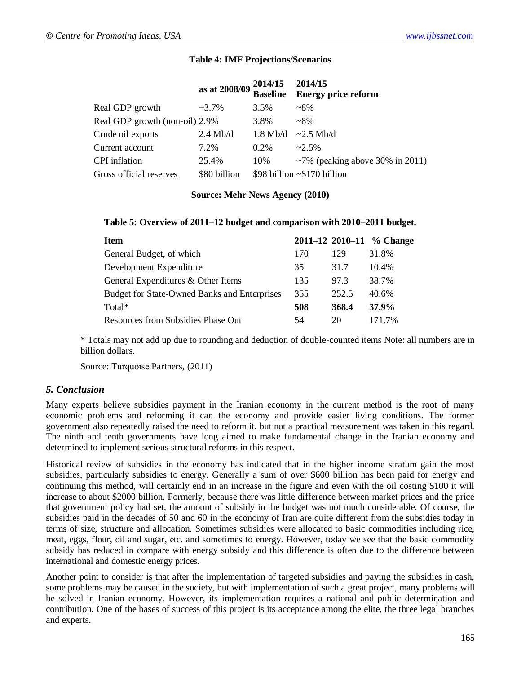# **Table 4: IMF Projections/Scenarios**

|                                | as at 2008/09 $\frac{2014}{15}$ 2014/15 |            | <b>Baseline</b> Energy price reform   |
|--------------------------------|-----------------------------------------|------------|---------------------------------------|
| Real GDP growth                | $-3.7\%$                                | 3.5%       | $~28\%$                               |
| Real GDP growth (non-oil) 2.9% |                                         | 3.8%       | $~28\%$                               |
| Crude oil exports              | $2.4$ Mb/d                              | $1.8$ Mb/d | $\sim$ 2.5 Mb/d                       |
| Current account                | 7.2%                                    | $0.2\%$    | $\sim$ 2.5%                           |
| <b>CPI</b> inflation           | 25.4%                                   | 10%        | $\sim$ 7% (peaking above 30% in 2011) |
| Gross official reserves        | \$80 billion                            |            | $$98$ billion ~\$170 billion          |

#### **Source: Mehr News Agency (2010)**

#### **Table 5: Overview of 2011–12 budget and comparison with 2010–2011 budget.**

| <b>Item</b>                                  |     |       | 2011-12 2010-11 % Change |
|----------------------------------------------|-----|-------|--------------------------|
| General Budget, of which                     | 170 | 129   | 31.8%                    |
| Development Expenditure                      | 35  | 31.7  | 10.4%                    |
| General Expenditures & Other Items           | 135 | 97.3  | 38.7%                    |
| Budget for State-Owned Banks and Enterprises | 355 | 252.5 | 40.6%                    |
| Total*                                       | 508 | 368.4 | 37.9%                    |
| Resources from Subsidies Phase Out           | 54  | 20    | 171.7%                   |

\* Totals may not add up due to rounding and deduction of double-counted items Note: all numbers are in billion dollars.

Source: Turquoıse Partners, (2011)

## *5. Conclusion*

Many experts believe subsidies payment in the Iranian economy in the current method is the root of many economic problems and reforming it can the economy and provide easier living conditions. The former government also repeatedly raised the need to reform it, but not a practical measurement was taken in this regard. The ninth and tenth governments have long aimed to make fundamental change in the Iranian economy and determined to implement serious structural reforms in this respect.

Historical review of subsidies in the economy has indicated that in the higher income stratum gain the most subsidies, particularly subsidies to energy. Generally a sum of over \$600 billion has been paid for energy and continuing this method, will certainly end in an increase in the figure and even with the oil costing \$100 it will increase to about \$2000 billion. Formerly, because there was little difference between market prices and the price that government policy had set, the amount of subsidy in the budget was not much considerable. Of course, the subsidies paid in the decades of 50 and 60 in the economy of Iran are quite different from the subsidies today in terms of size, structure and allocation. Sometimes subsidies were allocated to basic commodities including rice, meat, eggs, flour, oil and sugar, etc. and sometimes to energy. However, today we see that the basic commodity subsidy has reduced in compare with energy subsidy and this difference is often due to the difference between international and domestic energy prices.

Another point to consider is that after the implementation of targeted subsidies and paying the subsidies in cash, some problems may be caused in the society, but with implementation of such a great project, many problems will be solved in Iranian economy. However, its implementation requires a national and public determination and contribution. One of the bases of success of this project is its acceptance among the elite, the three legal branches and experts.